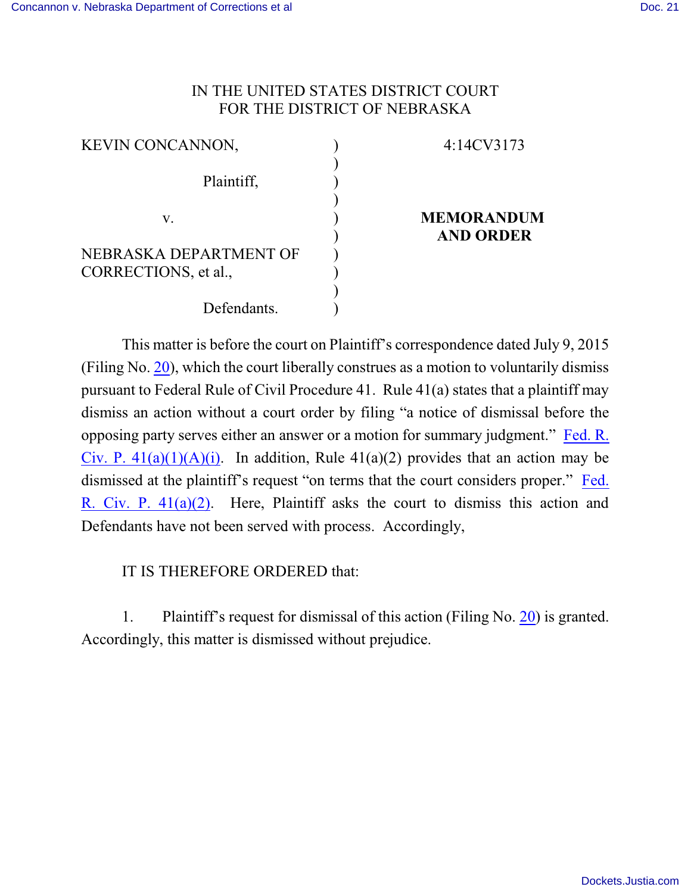## IN THE UNITED STATES DISTRICT COURT FOR THE DISTRICT OF NEBRASKA

| <b>KEVIN CONCANNON,</b> | 4:14CV3173        |
|-------------------------|-------------------|
| Plaintiff,              |                   |
|                         |                   |
| V.                      | <b>MEMORANDUM</b> |
|                         | <b>AND ORDER</b>  |
| NEBRASKA DEPARTMENT OF  |                   |
| CORRECTIONS, et al.,    |                   |
|                         |                   |
| Defendants.             |                   |

This matter is before the court on Plaintiff's correspondence dated July 9, 2015 (Filing No. [20](http://ecf.ned.uscourts.gov/doc1/11313313704)), which the court liberally construes as a motion to voluntarily dismiss pursuant to Federal Rule of Civil Procedure 41. Rule 41(a) states that a plaintiff may dismiss an action without a court order by filing "a notice of dismissal before the opposing party serves either an answer or a motion for summary judgment." [Fed. R.](http://web2.westlaw.com/result/default.wl?rs=WLW13.10&docsample=True&rp=%2fKeyCite%2fdefault.wl&sv=Split&service=KeyCite&tnprpds=TaxNewsFIT&ss=CNT&cite=frcp+41&tnprpdd=None&n=1&fn=_top&mt=EighthCircuit&vr=2.0&rlt=CLID_FQRLT83751364314811&cnt=DOC&cxt=DC) Civ. P.  $41(a)(1)(A)(i)$ . In addition, Rule  $41(a)(2)$  provides that an action may be dismissed at the plaintiff's request "on terms that the court considers proper." [Fed.](http://web2.westlaw.com/result/default.wl?rs=WLW13.10&docsample=True&rp=%2fKeyCite%2fdefault.wl&sv=Split&service=KeyCite&tnprpds=TaxNewsFIT&ss=CNT&cite=frcp+41&tnprpdd=None&n=1&fn=_top&mt=EighthCircuit&vr=2.0&rlt=CLID_FQRLT83751364314811&cnt=DOC&cxt=DC) R. Civ. P.  $41(a)(2)$ . Here, Plaintiff asks the court to dismiss this action and Defendants have not been served with process. Accordingly,

IT IS THEREFORE ORDERED that:

1. Plaintiff's request for dismissal of this action (Filing No. [20](http://ecf.ned.uscourts.gov/doc1/11313313704)) is granted. Accordingly, this matter is dismissed without prejudice.